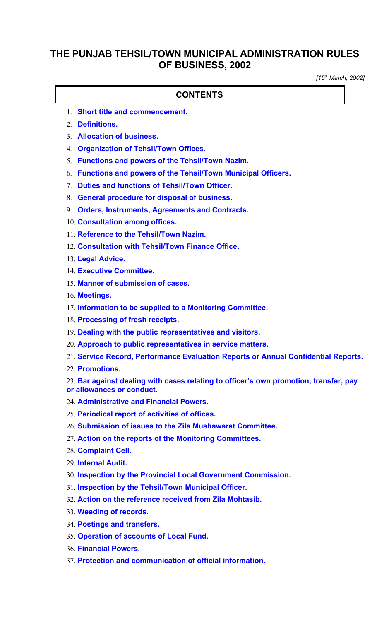## **THE PUNJAB TEHSIL/TOWN MUNICIPAL ADMINISTRATION RULES OF BUSINESS, 2002**

*[15th March, 2002]*

#### **CONTENTS**

- 1. **[Short title and commencement.](#page-1-1)**
- 2. **[Definitions.](#page-1-0)**
- 3. **[Allocation of business.](#page-2-1)**
- 4. **[Organization of Tehsil/Town Offices.](#page-2-0)**
- 5. **[Functions and powers of the Tehsil/Town Nazim.](#page-3-2)**
- 6. **[Functions and powers of the Tehsil/Town Municipal Officers.](#page-3-1)**
- 7. **[Duties and functions of Tehsil/Town Officer.](#page-3-0)**
- 8. **[General procedure for disposal of business.](#page-4-2)**
- 9. **[Orders, Instruments, Agreements and Contracts.](#page-4-1)**
- 10. **[Consultation among offices.](#page-4-0)**
- 11. **[Reference to the Tehsil/Town Nazim.](#page-5-3)**
- 12. **[Consultation with Tehsil/Town Finance Office.](#page-5-2)**
- 13. **[Legal Advice.](#page-5-1)**
- 14. **[Executive Committee.](#page-5-0)**
- 15. **[Manner of submission of cases.](#page-6-4)**
- 16. **[Meetings.](#page-6-3)**
- 17. **[Information to be supplied to a Monitoring Committee.](#page-6-2)**
- 18. **[Processing of fresh receipts.](#page-6-1)**
- 19. **[Dealing with the public representatives and visitors.](#page-6-0)**
- 20. **[Approach to public representatives in service matters.](#page-7-9)**
- 21. **[Service Record, Performance Evaluation Reports or Annual Confidential Reports.](#page-7-8)**
- 22. **[Promotions.](#page-7-7)**
- 23. **[Bar against dealing with cases relating to officer's own promotion, transfer, pay](#page-7-6) [or allowances or conduct.](#page-7-6)**
- 24. **[Administrative and Financial Powers.](#page-7-5)**
- 25. **[Periodical report of activities of offices.](#page-7-4)**
- 26. **[Submission of issues to the Zila Mushawarat Committee.](#page-7-3)**
- 27. **[Action on the reports of the Monitoring Committees.](#page-7-2)**
- 28. **[Complaint Cell.](#page-7-1)**
- 29. **[Internal Audit.](#page-7-0)**
- 30. **[Inspection by the Provincial Local Government Commission.](#page-8-4)**
- 31. **[Inspection by the Tehsil/Town Municipal Officer.](#page-8-3)**
- 32. **[Action on the reference received from Zila Mohtasib.](#page-8-2)**
- 33. **[Weeding of records.](#page-8-1)**
- 34. **[Postings and transfers.](#page-8-0)**
- 35. **[Operation of accounts of Local Fund.](#page-9-1)**
- 36. **[Financial Powers.](#page-9-0)**
- 37. **[Protection and communication of official information.](#page-10-0)**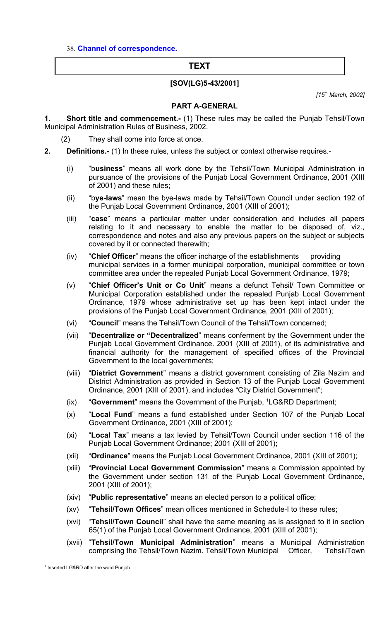38. **[Channel of correspondence.](#page-10-1)**

#### **TEXT**

#### **[SOV(LG)5-43/2001]**

*[15th March, 2002]*

#### <span id="page-1-1"></span>**PART A-GENERAL**

- **1. Short title and commencement.-** (1) These rules may be called the Punjab Tehsil/Town Municipal Administration Rules of Business, 2002.
	- (2) They shall come into force at once.
- <span id="page-1-0"></span>**2. Definitions.-** (1) In these rules, unless the subject or context otherwise requires.-
	- (i) "b**usiness**" means all work done by the Tehsil/Town Municipal Administration in pursuance of the provisions of the Punjab Local Government Ordinance, 2001 (XIII of 2001) and these rules;
	- (ii) "b**ye-laws**" mean the bye-laws made by Tehsil/Town Council under section 192 of the Punjab Local Government Ordinance, 2001 (XIII of 2001);
	- (iii) "**case**" means a particular matter under consideration and includes all papers relating to it and necessary to enable the matter to be disposed of, viz., correspondence and notes and also any previous papers on the subject or subjects covered by it or connected therewith;
	- (iv) "**Chief Officer**" means the officer incharge of the establishments providing municipal services in a former municipal corporation, municipal committee or town committee area under the repealed Punjab Local Government Ordinance, 1979;
	- (v) "**Chief Officer's Unit or Co Unit**" means a defunct Tehsil/ Town Committee or Municipal Corporation established under the repealed Punjab Local Government Ordinance, 1979 whose administrative set up has been kept intact under the provisions of the Punjab Local Government Ordinance, 2001 (XIII of 2001);
	- (vi) "**Council**" means the Tehsil/Town Council of the Tehsil/Town concerned;
	- (vii) "**Decentralize or "Decentralized**" means conferment by the Government under the Punjab Local Government Ordinance. 2001 (XIII of 2001), of its administrative and financial authority for the management of specified offices of the Provincial Government to the local governments;
	- (viii) "**District Government**" means a district government consisting of Zila Nazim and District Administration as provided in Section 13 of the Punjab Local Government Ordinance, 2001 (XIII of 2001), and includes "City District Government";
	- (ix) "**Government**" means the Government of the Punjab, [1](#page-1-2)LG&RD Department;
	- (x) "**Local Fund**" means a fund established under Section 107 of the Punjab Local Government Ordinance, 2001 (XIII of 2001);
	- (xi) "**Local Tax**" means a tax levied by Tehsil/Town Council under section 116 of the Punjab Local Government Ordinance; 2001 (XIII of 2001);
	- (xii) "**Ordinance**" means the Punjab Local Government Ordinance, 2001 (XIII of 2001);
	- (xiii) "**Provincial Local Government Commission**" means a Commission appointed by the Government under section 131 of the Punjab Local Government Ordinance, 2001 (XIII of 2001);
	- (xiv) "**Public representative**" means an elected person to a political office;
	- (xv) "**Tehsil/Town Offices**" mean offices mentioned in Schedule-I to these rules;
	- (xvi) "**Tehsil/Town Council**" shall have the same meaning as is assigned to it in section 65(1) of the Punjab Local Government Ordinance, 2001 (XIII of 2001);
	- (xvii) "**Tehsil/Town Municipal Administration**" means a Municipal Administration comprising the Tehsil/Town Nazim. Tehsil/Town Municipal Officer, Tehsil/Town

<span id="page-1-2"></span> $1$  Inserted LG&RD after the word Punjab.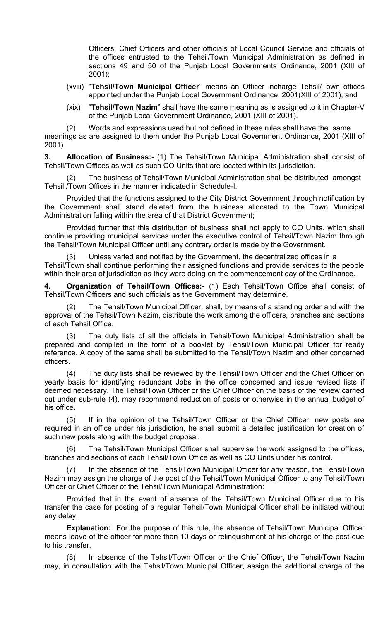Officers, Chief Officers and other officials of Local Council Service and officials of the offices entrusted to the Tehsil/Town Municipal Administration as defined in sections 49 and 50 of the Punjab Local Governments Ordinance, 2001 (XIII of 2001);

- (xviii) "**Tehsil/Town Municipal Officer**" means an Officer incharge Tehsil/Town offices appointed under the Punjab Local Government Ordinance, 2001(XIII of 2001); and
- (xix) "**Tehsil/Town Nazim**" shall have the same meaning as is assigned to it in Chapter-V of the Punjab Local Government Ordinance, 2001 (XIII of 2001).

(2) Words and expressions used but not defined in these rules shall have the same meanings as are assigned to them under the Punjab Local Government Ordinance, 2001 (XIII of 2001).

<span id="page-2-1"></span>**3. Allocation of Business:-** (1) The Tehsil/Town Municipal Administration shall consist of Tehsil/Town Offices as well as such CO Units that are located within its jurisdiction.

The business of Tehsil/Town Municipal Administration shall be distributed amongst Tehsil /Town Offices in the manner indicated in Schedule-I.

Provided that the functions assigned to the City District Government through notification by the Government shall stand deleted from the business allocated to the Town Municipal Administration falling within the area of that District Government;

Provided further that this distribution of business shall not apply to CO Units, which shall continue providing municipal services under the executive control of Tehsil/Town Nazim through the Tehsil/Town Municipal Officer until any contrary order is made by the Government.

(3) Unless varied and notified by the Government, the decentralized offices in a Tehsil/Town shall continue performing their assigned functions and provide services to the people within their area of jurisdiction as they were doing on the commencement day of the Ordinance.

<span id="page-2-0"></span>**4. Organization of Tehsil/Town Offices:-** (1) Each Tehsil/Town Office shall consist of Tehsil/Town Officers and such officials as the Government may determine.

(2) The Tehsil/Town Municipal Officer, shall, by means of a standing order and with the approval of the Tehsil/Town Nazim, distribute the work among the officers, branches and sections of each Tehsil Office.

(3) The duty lists of all the officials in Tehsil/Town Municipal Administration shall be prepared and compiled in the form of a booklet by Tehsil/Town Municipal Officer for ready reference. A copy of the same shall be submitted to the Tehsil/Town Nazim and other concerned officers.

(4) The duty lists shall be reviewed by the Tehsil/Town Officer and the Chief Officer on yearly basis for identifying redundant Jobs in the office concerned and issue revised lists if deemed necessary. The Tehsil/Town Officer or the Chief Officer on the basis of the review carried out under sub-rule (4), may recommend reduction of posts or otherwise in the annual budget of his office.

(5) If in the opinion of the Tehsil/Town Officer or the Chief Officer, new posts are required in an office under his jurisdiction, he shall submit a detailed justification for creation of such new posts along with the budget proposal.

(6) The Tehsil/Town Municipal Officer shall supervise the work assigned to the offices, branches and sections of each Tehsil/Town Office as well as CO Units under his control.

(7) In the absence of the Tehsil/Town Municipal Officer for any reason, the Tehsil/Town Nazim may assign the charge of the post of the Tehsil/Town Municipal Officer to any Tehsil/Town Officer or Chief Officer of the Tehsil/Town Municipal Administration:

Provided that in the event of absence of the Tehsil/Town Municipal Officer due to his transfer the case for posting of a regular Tehsil/Town Municipal Officer shall be initiated without any delay.

**Explanation:** For the purpose of this rule, the absence of Tehsil/Town Municipal Officer means leave of the officer for more than 10 days or relinquishment of his charge of the post due to his transfer.

(8) In absence of the Tehsil/Town Officer or the Chief Officer, the Tehsil/Town Nazim may, in consultation with the Tehsil/Town Municipal Officer, assign the additional charge of the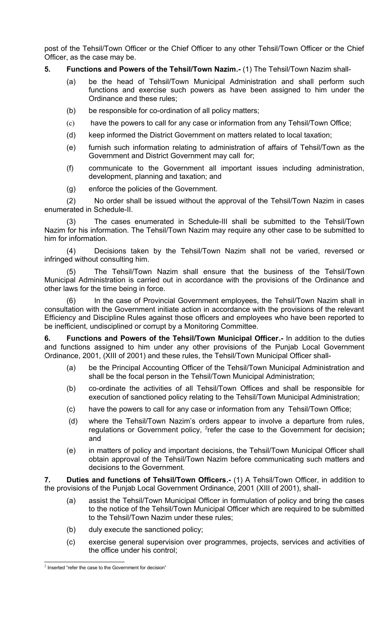post of the Tehsil/Town Officer or the Chief Officer to any other Tehsil/Town Officer or the Chief Officer, as the case may be.

#### **5. Functions and Powers of the Tehsil/Town Nazim.-** (1) The Tehsil/Town Nazim shall-

- <span id="page-3-2"></span>(a) be the head of Tehsil/Town Municipal Administration and shall perform such functions and exercise such powers as have been assigned to him under the Ordinance and these rules;
- (b) be responsible for co-ordination of all policy matters;
- (c) have the powers to call for any case or information from any Tehsil/Town Office;
- (d) keep informed the District Government on matters related to local taxation;
- (e) furnish such information relating to administration of affairs of Tehsil/Town as the Government and District Government may call for;
- (f) communicate to the Government all important issues including administration, development, planning and taxation; and
- (g) enforce the policies of the Government.

(2) No order shall be issued without the approval of the Tehsil/Town Nazim in cases enumerated in Schedule-II.

(3) The cases enumerated in Schedule-III shall be submitted to the Tehsil/Town Nazim for his information. The Tehsil/Town Nazim may require any other case to be submitted to him for information.

(4) Decisions taken by the Tehsil/Town Nazim shall not be varied, reversed or infringed without consulting him.

(5) The Tehsil/Town Nazim shall ensure that the business of the Tehsil/Town Municipal Administration is carried out in accordance with the provisions of the Ordinance and other laws for the time being in force.

(6) In the case of Provincial Government employees, the Tehsil/Town Nazim shall in consultation with the Government initiate action in accordance with the provisions of the relevant Efficiency and Discipline Rules against those officers and employees who have been reported to be inefficient, undisciplined or corrupt by a Monitoring Committee.

**6. Functions and Powers of the Tehsil/Town Municipal Officer.-** In addition to the duties and functions assigned to him under any other provisions of the Punjab Local Government Ordinance, 2001, (XIII of 2001) and these rules, the Tehsil/Town Municipal Officer shall-

- <span id="page-3-1"></span>(a) be the Principal Accounting Officer of the Tehsil/Town Municipal Administration and shall be the focal person in the Tehsil/Town Municipal Administration;
- (b) co-ordinate the activities of all Tehsil/Town Offices and shall be responsible for execution of sanctioned policy relating to the Tehsil/Town Municipal Administration;
- (c) have the powers to call for any case or information from any Tehsil/Town Office;
- (d) where the Tehsil/Town Nazim's orders appear to involve a departure from rules, regulations or Government policy, <sup>[2](#page-3-3)</sup>refer the case to the Government for decision; and
- (e) in matters of policy and important decisions, the Tehsil/Town Municipal Officer shall obtain approval of the Tehsil/Town Nazim before communicating such matters and decisions to the Government.

**7. Duties and functions of Tehsil/Town Officers.-** (1) A Tehsil/Town Officer, in addition to the provisions of the Punjab Local Government Ordinance, 2001 (XIII of 2001), shall-

- <span id="page-3-0"></span>(a) assist the Tehsil/Town Municipal Officer in formulation of policy and bring the cases to the notice of the Tehsil/Town Municipal Officer which are required to be submitted to the Tehsil/Town Nazim under these rules;
- (b) duly execute the sanctioned policy;
- (c) exercise general supervision over programmes, projects, services and activities of the office under his control;

<span id="page-3-3"></span> $2$  Inserted "refer the case to the Government for decision"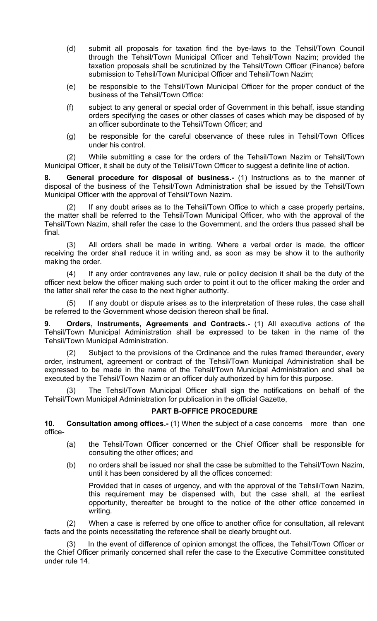- (d) submit all proposals for taxation find the bye-laws to the Tehsil/Town Council through the Tehsil/Town Municipal Officer and Tehsil/Town Nazim; provided the taxation proposals shall be scrutinized by the Tehsil/Town Officer (Finance) before submission to Tehsil/Town Municipal Officer and Tehsil/Town Nazim;
- (e) be responsible to the Tehsil/Town Municipal Officer for the proper conduct of the business of the Tehsil/Town Office:
- (f) subject to any general or special order of Government in this behalf, issue standing orders specifying the cases or other classes of cases which may be disposed of by an officer subordinate to the Tehsil/Town Officer; and
- (g) be responsible for the careful observance of these rules in Tehsil/Town Offices under his control.

(2) While submitting a case for the orders of the Tehsil/Town Nazim or Tehsil/Town Municipal Officer, it shall be duty of the Telisil/Town Officer to suggest a definite line of action.

<span id="page-4-2"></span>**8. General procedure for disposal of business.-** (1) Instructions as to the manner of disposal of the business of the Tehsil/Town Administration shall be issued by the Tehsil/Town Municipal Officer with the approval of Tehsil/Town Nazim.

If any doubt arises as to the Tehsil/Town Office to which a case properly pertains, the matter shall be referred to the Tehsil/Town Municipal Officer, who with the approval of the Tehsil/Town Nazim, shall refer the case to the Government, and the orders thus passed shall be final.

(3) All orders shall be made in writing. Where a verbal order is made, the officer receiving the order shall reduce it in writing and, as soon as may be show it to the authority making the order.

(4) If any order contravenes any law, rule or policy decision it shall be the duty of the officer next below the officer making such order to point it out to the officer making the order and the latter shall refer the case to the next higher authority.

(5) If any doubt or dispute arises as to the interpretation of these rules, the case shall be referred to the Government whose decision thereon shall be final.

<span id="page-4-1"></span>**9. Orders, Instruments, Agreements and Contracts.-** (1) All executive actions of the Tehsil/Town Municipal Administration shall be expressed to be taken in the name of the Tehsil/Town Municipal Administration.

(2) Subject to the provisions of the Ordinance and the rules framed thereunder, every order, instrument, agreement or contract of the Tehsil/Town Municipal Administration shall be expressed to be made in the name of the Tehsil/Town Municipal Administration and shall be executed by the Tehsil/Town Nazim or an officer duly authorized by him for this purpose.

The Tehsil/Town Municipal Officer shall sign the notifications on behalf of the Tehsil/Town Municipal Administration for publication in the official Gazette,

### **PART B-OFFICE PROCEDURE**

**10. Consultation among offices.-** (1) When the subject of a case concerns more than one office-

- <span id="page-4-0"></span>(a) the Tehsil/Town Officer concerned or the Chief Officer shall be responsible for consulting the other offices; and
- (b) no orders shall be issued nor shall the case be submitted to the Tehsil/Town Nazim, until it has been considered by all the offices concerned:

Provided that in cases of urgency, and with the approval of the Tehsil/Town Nazim, this requirement may be dispensed with, but the case shall, at the earliest opportunity, thereafter be brought to the notice of the other office concerned in writing.

(2) When a case is referred by one office to another office for consultation, all relevant facts and the points necessitating the reference shall be clearly brought out.

In the event of difference of opinion amongst the offices, the Tehsil/Town Officer or the Chief Officer primarily concerned shall refer the case to the Executive Committee constituted under rule 14.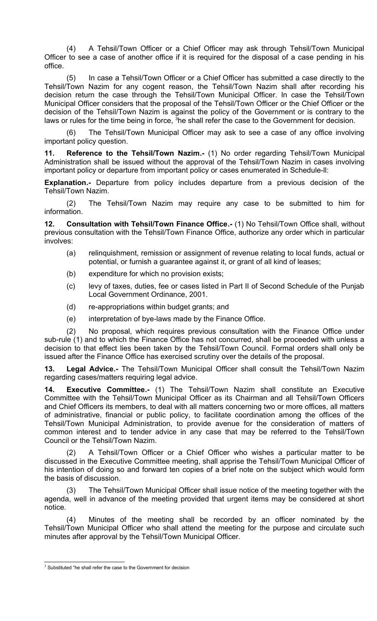(4) A Tehsil/Town Officer or a Chief Officer may ask through Tehsil/Town Municipal Officer to see a case of another office if it is required for the disposal of a case pending in his office.

(5) In case a Tehsil/Town Officer or a Chief Officer has submitted a case directly to the Tehsil/Town Nazim for any cogent reason, the Tehsil/Town Nazim shall after recording his decision return the case through the Tehsil/Town Municipal Officer. In case the Tehsil/Town Municipal Officer considers that the proposal of the Tehsil/Town Officer or the Chief Officer or the decision of the Tehsil/Town Nazim is against the policy of the Government or is contrary to the laws or rules for the time being in force, <sup>[3](#page-5-4)</sup>he shall refer the case to the Government for decision.

(6) The Tehsil/Town Municipal Officer may ask to see a case of any office involving important policy question.

<span id="page-5-3"></span>**11. Reference to the Tehsil/Town Nazim.-** (1) No order regarding Tehsil/Town Municipal Administration shall be issued without the approval of the Tehsil/Town Nazim in cases involving important policy or departure from important policy or cases enumerated in Schedule-ll:

**Explanation.-** Departure from policy includes departure from a previous decision of the Tehsil/Town Nazim.

(2) The Tehsil/Town Nazim may require any case to be submitted to him for information.

**12. Consultation with Tehsil/Town Finance Office.-** (1) No Tehsil/Town Office shall, without previous consultation with the Tehsil/Town Finance Office, authorize any order which in particular involves:

- <span id="page-5-2"></span>(a) relinquishment, remission or assignment of revenue relating to local funds, actual or potential, or furnish a guarantee against it, or grant of all kind of leases;
- (b) expenditure for which no provision exists;
- (c) levy of taxes, duties, fee or cases listed in Part II of Second Schedule of the Punjab Local Government Ordinance, 2001.
- (d) re-appropriations within budget grants; and
- (e) interpretation of bye-laws made by the Finance Office.

(2) No proposal, which requires previous consultation with the Finance Office under sub-rule (1) and to which the Finance Office has not concurred, shall be proceeded with unless a decision to that effect lies been taken by the Tehsil/Town Council. Formal orders shall only be issued after the Finance Office has exercised scrutiny over the details of the proposal.

<span id="page-5-1"></span>**13. Legal Advice.-** The Tehsil/Town Municipal Officer shall consult the Tehsil/Town Nazim regarding cases/matters requiring legal advice.

<span id="page-5-0"></span>**14. Executive Committee.-** (1) The Tehsil/Town Nazim shall constitute an Executive Committee with the Tehsil/Town Municipal Officer as its Chairman and all Tehsil/Town Officers and Chief Officers its members, to deal with all matters concerning two or more offices, all matters of administrative, financial or public policy, to facilitate coordination among the offices of the Tehsil/Town Municipal Administration, to provide avenue for the consideration of matters of common interest and to tender advice in any case that may be referred to the Tehsil/Town Council or the Tehsil/Town Nazim.

(2) A Tehsil/Town Officer or a Chief Officer who wishes a particular matter to be discussed in the Executive Committee meeting, shall apprise the Tehsil/Town Municipal Officer of his intention of doing so and forward ten copies of a brief note on the subject which would form the basis of discussion.

(3) The Tehsil/Town Municipal Officer shall issue notice of the meeting together with the agenda, well in advance of the meeting provided that urgent items may be considered at short notice.

(4) Minutes of the meeting shall be recorded by an officer nominated by the Tehsil/Town Municipal Officer who shall attend the meeting for the purpose and circulate such minutes after approval by the Tehsil/Town Municipal Officer.

<span id="page-5-4"></span> $3$  Substituted "he shall refer the case to the Government for decision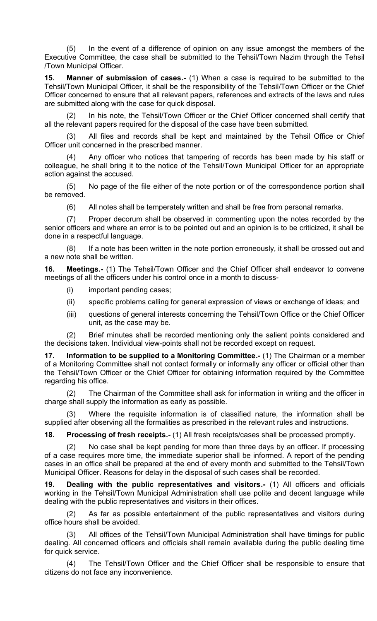(5) In the event of a difference of opinion on any issue amongst the members of the Executive Committee, the case shall be submitted to the Tehsil/Town Nazim through the Tehsil /Town Municipal Officer.

<span id="page-6-4"></span>**15. Manner of submission of cases.-** (1) When a case is required to be submitted to the Tehsil/Town Municipal Officer, it shall be the responsibility of the Tehsil/Town Officer or the Chief Officer concerned to ensure that all relevant papers, references and extracts of the laws and rules are submitted along with the case for quick disposal.

In his note, the Tehsil/Town Officer or the Chief Officer concerned shall certify that all the relevant papers required for the disposal of the case have been submitted.

(3) All files and records shall be kept and maintained by the Tehsil Office or Chief Officer unit concerned in the prescribed manner.

(4) Any officer who notices that tampering of records has been made by his staff or colleague, he shall bring it to the notice of the Tehsil/Town Municipal Officer for an appropriate action against the accused.

(5) No page of the file either of the note portion or of the correspondence portion shall be removed.

(6) All notes shall be temperately written and shall be free from personal remarks.

(7) Proper decorum shall be observed in commenting upon the notes recorded by the senior officers and where an error is to be pointed out and an opinion is to be criticized, it shall be done in a respectful language.

(8) If a note has been written in the note portion erroneously, it shall be crossed out and a new note shall be written.

**16. Meetings.-** (1) The Tehsil/Town Officer and the Chief Officer shall endeavor to convene meetings of all the officers under his control once in a month to discuss-

- <span id="page-6-3"></span>(i) important pending cases;
- (ii) specific problems calling for general expression of views or exchange of ideas; and
- (iii) questions of general interests concerning the Tehsil/Town Office or the Chief Officer unit, as the case may be.

(2) Brief minutes shall be recorded mentioning only the salient points considered and the decisions taken. Individual view-points shall not be recorded except on request.

<span id="page-6-2"></span>**17. Information to be supplied to a Monitoring Committee.-** (1) The Chairman or a member of a Monitoring Committee shall not contact formally or informally any officer or official other than the Tehsil/Town Officer or the Chief Officer for obtaining information required by the Committee regarding his office.

(2) The Chairman of the Committee shall ask for information in writing and the officer in charge shall supply the information as early as possible.

Where the requisite information is of classified nature, the information shall be supplied after observing all the formalities as prescribed in the relevant rules and instructions.

<span id="page-6-1"></span>**18. Processing of fresh receipts.-** (1) All fresh receipts/cases shall be processed promptly.

(2) No case shall be kept pending for more than three days by an officer. If processing of a case requires more time, the immediate superior shall be informed. A report of the pending cases in an office shall be prepared at the end of every month and submitted to the Tehsil/Town Municipal Officer. Reasons for delay in the disposal of such cases shall be recorded.

<span id="page-6-0"></span>**19. Dealing with the public representatives and visitors.-** (1) All officers and officials working in the Tehsil/Town Municipal Administration shall use polite and decent language while dealing with the public representatives and visitors in their offices.

(2) As far as possible entertainment of the public representatives and visitors during office hours shall be avoided.

(3) All offices of the Tehsil/Town Municipal Administration shall have timings for public dealing. All concerned officers and officials shall remain available during the public dealing time for quick service.

(4) The Tehsil/Town Officer and the Chief Officer shall be responsible to ensure that citizens do not face any inconvenience.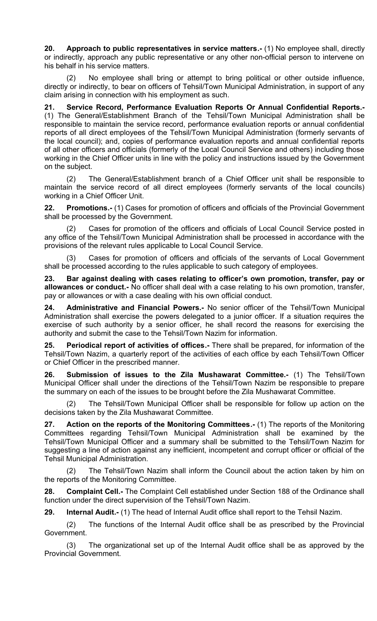<span id="page-7-9"></span>**20. Approach to public representatives in service matters.-** (1) No employee shall, directly or indirectly, approach any public representative or any other non-official person to intervene on his behalf in his service matters.

(2) No employee shall bring or attempt to bring political or other outside influence, directly or indirectly, to bear on officers of Tehsil/Town Municipal Administration, in support of any claim arising in connection with his employment as such.

<span id="page-7-8"></span>**21. Service Record, Performance Evaluation Reports Or Annual Confidential Reports.-** (1) The General/Establishment Branch of the Tehsil/Town Municipal Administration shall be responsible to maintain the service record, performance evaluation reports or annual confidential reports of all direct employees of the Tehsil/Town Municipal Administration (formerly servants of the local council); and, copies of performance evaluation reports and annual confidential reports of all other officers and officials (formerly of the Local Council Service and others) including those working in the Chief Officer units in line with the policy and instructions issued by the Government on the subject.

(2) The General/Establishment branch of a Chief Officer unit shall be responsible to maintain the service record of all direct employees (formerly servants of the local councils) working in a Chief Officer Unit.

<span id="page-7-7"></span>**22. Promotions.-** (1) Cases for promotion of officers and officials of the Provincial Government shall be processed by the Government.

Cases for promotion of the officers and officials of Local Council Service posted in any office of the Tehsil/Town Municipal Administration shall be processed in accordance with the provisions of the relevant rules applicable to Local Council Service.

(3) Cases for promotion of officers and officials of the servants of Local Government shall be processed according to the rules applicable to such category of employees.

<span id="page-7-6"></span>**23. Bar against dealing with cases relating to officer's own promotion, transfer, pay or allowances or conduct.-** No officer shall deal with a case relating to his own promotion, transfer, pay or allowances or with a case dealing with his own official conduct.

<span id="page-7-5"></span>**24. Administrative and Financial Powers.-** No senior officer of the Tehsil/Town Municipal Administration shall exercise the powers delegated to a junior officer. If a situation requires the exercise of such authority by a senior officer, he shall record the reasons for exercising the authority and submit the case to the Tehsil/Town Nazim for information.

<span id="page-7-4"></span>**25. Periodical report of activities of offices.-** There shall be prepared, for information of the Tehsil/Town Nazim, a quarterly report of the activities of each office by each Tehsil/Town Officer or Chief Officer in the prescribed manner.

<span id="page-7-3"></span>**26. Submission of issues to the Zila Mushawarat Committee.-** (1) The Tehsil/Town Municipal Officer shall under the directions of the Tehsil/Town Nazim be responsible to prepare the summary on each of the issues to be brought before the Zila Mushawarat Committee.

(2) The Tehsil/Town Municipal Officer shall be responsible for follow up action on the decisions taken by the Zila Mushawarat Committee.

<span id="page-7-2"></span>**27. Action on the reports of the Monitoring Committees.-** (1) The reports of the Monitoring Committees regarding Tehsil/Town Municipal Administration shall be examined by the Tehsil/Town Municipal Officer and a summary shall be submitted to the Tehsil/Town Nazim for suggesting a line of action against any inefficient, incompetent and corrupt officer or official of the Tehsil Municipal Administration.

(2) The Tehsil/Town Nazim shall inform the Council about the action taken by him on the reports of the Monitoring Committee.

<span id="page-7-1"></span>**28. Complaint Cell.-** The Complaint Cell established under Section 188 of the Ordinance shall function under the direct supervision of the Tehsil/Town Nazim.

<span id="page-7-0"></span>**29. Internal Audit.-** (1) The head of Internal Audit office shall report to the Tehsil Nazim.

(2) The functions of the Internal Audit office shall be as prescribed by the Provincial Government.

(3) The organizational set up of the Internal Audit office shall be as approved by the Provincial Government.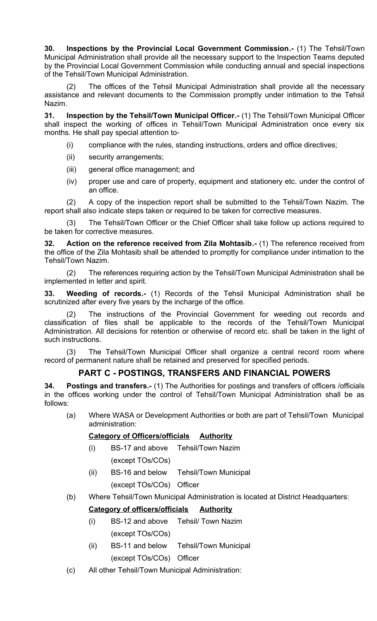<span id="page-8-4"></span>**30. Inspections by the Provincial Local Government Commission.-** (1) The Tehsil/Town Municipal Administration shall provide all the necessary support to the Inspection Teams deputed by the Provincial Local Government Commission while conducting annual and special inspections of the Tehsil/Town Municipal Administration.

(2) The offices of the Tehsil Municipal Administration shall provide all the necessary assistance and relevant documents to the Commission promptly under intimation to the Tehsil Nazim.

**31. Inspection by the Tehsil/Town Municipal Officer.-** (1) The Tehsil/Town Municipal Officer shall inspect the working of offices in Tehsil/Town Municipal Administration once every six months. He shall pay special attention to-

- <span id="page-8-3"></span>(i) compliance with the rules, standing instructions, orders and office directives;
- (ii) security arrangements;
- (iii) general office management; and
- (iv) proper use and care of property, equipment and stationery etc. under the control of an office.

(2) A copy of the inspection report shall be submitted to the Tehsil/Town Nazim. The report shall also indicate steps taken or required to be taken for corrective measures.

(3) The Tehsil/Town Officer or the Chief Officer shall take follow up actions required to be taken for corrective measures.

<span id="page-8-2"></span>**32. Action on the reference received from Zila Mohtasib.-** (1) The reference received from the office of the Zila Mohtasib shall be attended to promptly for compliance under intimation to the Tehsil/Town Nazim.

(2) The references requiring action by the Tehsil/Town Municipal Administration shall be implemented in letter and spirit.

<span id="page-8-1"></span>**33. Weeding of records.-** (1) Records of the Tehsil Municipal Administration shall be scrutinized after every five years by the incharge of the office.

(2) The instructions of the Provincial Government for weeding out records and classification of files shall be applicable to the records of the Tehsil/Town Municipal Administration. All decisions for retention or otherwise of record etc. shall be taken in the light of such instructions.

(3) The Tehsil/Town Municipal Officer shall organize a central record room where record of permanent nature shall be retained and preserved for specified periods.

### <span id="page-8-0"></span>**PART C - POSTINGS, TRANSFERS AND FINANCIAL POWERS**

**34. Postings and transfers.-** (1) The Authorities for postings and transfers of officers /officials in the offices working under the control of Tehsil/Town Municipal Administration shall be as follows:

(a) Where WASA or Development Authorities or both are part of Tehsil/Town Municipal administration:

### **Category of Officers/officials Authority**

- (i) BS-17 and above Tehsil/Town Nazim (except TOs/COs)
- (ii) BS-16 and below Tehsil/Town Municipal (except TOs/COs) Officer
- (b) Where Tehsil/Town Municipal Administration is located at District Headquarters:

### **Category of officers/officials Authority**

- (i) BS-12 and above Tehsil/ Town Nazim (except TOs/COs)
- (ii) BS-11 and below Tehsil/Town Municipal (except TOs/COs) Officer
- (c) All other Tehsil/Town Municipal Administration: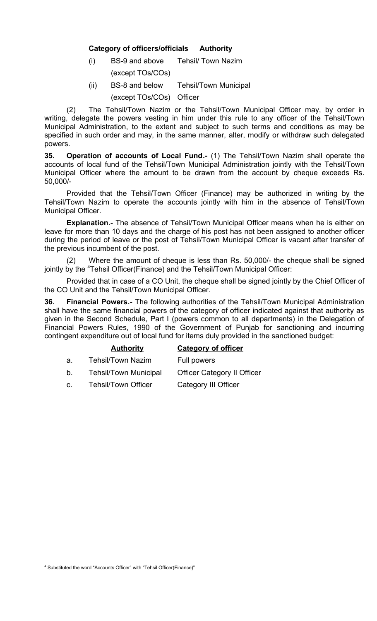#### **Category of officers/officials Authority**

- (i) BS-9 and above Tehsil/ Town Nazim
	- (except TOs/COs)
- (ii) BS-8 and below Tehsil/Town Municipal (except TOs/COs) Officer

(2) The Tehsil/Town Nazim or the Tehsil/Town Municipal Officer may, by order in writing, delegate the powers vesting in him under this rule to any officer of the Tehsil/Town Municipal Administration, to the extent and subject to such terms and conditions as may be specified in such order and may, in the same manner, alter, modify or withdraw such delegated powers.

<span id="page-9-1"></span>**35. Operation of accounts of Local Fund.-** (1) The Tehsil/Town Nazim shall operate the accounts of local fund of the Tehsil/Town Municipal Administration jointly with the Tehsil/Town Municipal Officer where the amount to be drawn from the account by cheque exceeds Rs. 50,000/-

Provided that the Tehsil/Town Officer (Finance) may be authorized in writing by the Tehsil/Town Nazim to operate the accounts jointly with him in the absence of Tehsil/Town Municipal Officer.

**Explanation.-** The absence of Tehsil/Town Municipal Officer means when he is either on leave for more than 10 days and the charge of his post has not been assigned to another officer during the period of leave or the post of Tehsil/Town Municipal Officer is vacant after transfer of the previous incumbent of the post.

(2) Where the amount of cheque is less than Rs. 50,000/- the cheque shall be signed jointly by the [4](#page-9-2)Tehsil Officer(Finance) and the Tehsil/Town Municipal Officer:

Provided that in case of a CO Unit, the cheque shall be signed jointly by the Chief Officer of the CO Unit and the Tehsil/Town Municipal Officer.

<span id="page-9-0"></span>**36. Financial Powers.-** The following authorities of the Tehsil/Town Municipal Administration shall have the same financial powers of the category of officer indicated against that authority as given in the Second Schedule, Part I (powers common to all departments) in the Delegation of Financial Powers Rules, 1990 of the Government of Punjab for sanctioning and incurring contingent expenditure out of local fund for items duly provided in the sanctioned budget:

#### **Authority Category of officer**

- a. Tehsil/Town Nazim Full powers
- b. Tehsil/Town Municipal Officer Category II Officer
- c. Tehsil/Town Officer Category III Officer

<span id="page-9-2"></span> $4$  Substituted the word "Accounts Officer" with "Tehsil Officer(Finance)"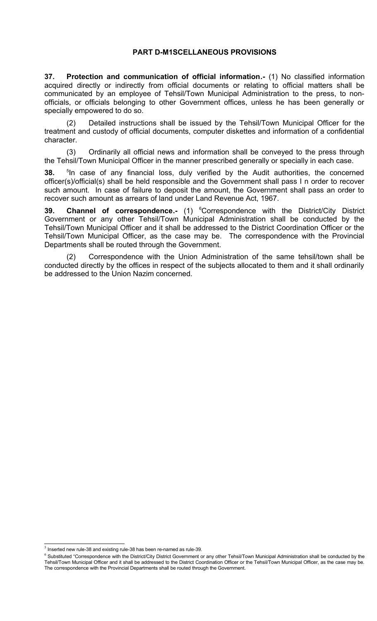#### **PART D-M1SCELLANEOUS PROVISIONS**

<span id="page-10-0"></span>**37. Protection and communication of official information.-** (1) No classified information acquired directly or indirectly from official documents or relating to official matters shall be communicated by an employee of Tehsil/Town Municipal Administration to the press, to nonofficials, or officials belonging to other Government offices, unless he has been generally or specially empowered to do so.

Detailed instructions shall be issued by the Tehsil/Town Municipal Officer for the treatment and custody of official documents, computer diskettes and information of a confidential character.

(3) Ordinarily all official news and information shall be conveyed to the press through the Tehsil/Town Municipal Officer in the manner prescribed generally or specially in each case.

<span id="page-10-1"></span> $38.$ <sup>5</sup>In case of any financial loss, duly verified by the Audit authorities, the concerned officer(s)/official(s) shall be held responsible and the Government shall pass I n order to recover such amount. In case of failure to deposit the amount, the Government shall pass an order to recover such amount as arrears of land under Land Revenue Act, 1967.

**39.Channel of correspondence.-** (1) <sup>6</sup>Correspondence with the District/City District Government or any other Tehsil/Town Municipal Administration shall be conducted by the Tehsil/Town Municipal Officer and it shall be addressed to the District Coordination Officer or the Tehsil/Town Municipal Officer, as the case may be. The correspondence with the Provincial Departments shall be routed through the Government.

Correspondence with the Union Administration of the same tehsil/town shall be conducted directly by the offices in respect of the subjects allocated to them and it shall ordinarily be addressed to the Union Nazim concerned.

<span id="page-10-2"></span> $<sup>5</sup>$  Inserted new rule-38 and existing rule-38 has been re-named as rule-39.</sup>

<span id="page-10-3"></span> $<sup>6</sup>$  Substituted "Correspondence with the District/City District Government or any other Tehsil/Town Municipal Administration shall be conducted by the</sup> Tehsil/Town Municipal Officer and it shall be addressed to the District Coordination Officer or the Tehsil/Town Municipal Officer, as the case may be. The correspondence with the Provincial Departments shall be routed through the Government.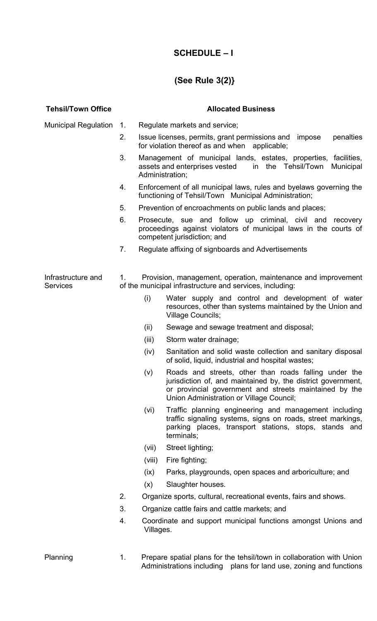# **SCHEDULE – I**

# **(See Rule 3(2)}**

| <b>Tehsil/Town Office</b>             |             | <b>Allocated Business</b>                                                                                                                                    |                                                                                                                                                                                                                             |  |
|---------------------------------------|-------------|--------------------------------------------------------------------------------------------------------------------------------------------------------------|-----------------------------------------------------------------------------------------------------------------------------------------------------------------------------------------------------------------------------|--|
| <b>Municipal Regulation</b>           | $1_{\cdot}$ |                                                                                                                                                              | Regulate markets and service;                                                                                                                                                                                               |  |
|                                       | 2.          |                                                                                                                                                              | penalties<br>Issue licenses, permits, grant permissions and impose<br>for violation thereof as and when applicable;                                                                                                         |  |
|                                       | 3.          |                                                                                                                                                              | Management of municipal lands, estates, properties, facilities,<br>assets and enterprises vested<br>in the Tehsil/Town<br>Municipal<br>Administration;                                                                      |  |
|                                       | 4.          | Enforcement of all municipal laws, rules and byelaws governing the<br>functioning of Tehsil/Town Municipal Administration;                                   |                                                                                                                                                                                                                             |  |
|                                       | 5.          | Prevention of encroachments on public lands and places;                                                                                                      |                                                                                                                                                                                                                             |  |
|                                       | 6.          | Prosecute, sue and follow up criminal, civil and recovery<br>proceedings against violators of municipal laws in the courts of<br>competent jurisdiction; and |                                                                                                                                                                                                                             |  |
|                                       | 7.          | Regulate affixing of signboards and Advertisements                                                                                                           |                                                                                                                                                                                                                             |  |
|                                       |             |                                                                                                                                                              |                                                                                                                                                                                                                             |  |
| Infrastructure and<br><b>Services</b> | $1_{-}$     |                                                                                                                                                              | Provision, management, operation, maintenance and improvement<br>of the municipal infrastructure and services, including:                                                                                                   |  |
|                                       |             | (i)                                                                                                                                                          | Water supply and control and development of water<br>resources, other than systems maintained by the Union and<br><b>Village Councils;</b>                                                                                  |  |
|                                       |             | (ii)                                                                                                                                                         | Sewage and sewage treatment and disposal;                                                                                                                                                                                   |  |
|                                       |             | (iii)                                                                                                                                                        | Storm water drainage;                                                                                                                                                                                                       |  |
|                                       |             | (iv)                                                                                                                                                         | Sanitation and solid waste collection and sanitary disposal<br>of solid, liquid, industrial and hospital wastes;                                                                                                            |  |
|                                       |             | (v)                                                                                                                                                          | Roads and streets, other than roads falling under the<br>jurisdiction of, and maintained by, the district government,<br>or provincial government and streets maintained by the<br>Union Administration or Village Council; |  |
|                                       |             | (Vi)                                                                                                                                                         | Traffic planning engineering and management including<br>traffic signaling systems, signs on roads, street markings,<br>parking places, transport stations, stops, stands and<br>terminals;                                 |  |
|                                       |             | (vii)                                                                                                                                                        | Street lighting;                                                                                                                                                                                                            |  |
|                                       |             | (viii)                                                                                                                                                       | Fire fighting;                                                                                                                                                                                                              |  |
|                                       |             | (ix)                                                                                                                                                         | Parks, playgrounds, open spaces and arboriculture; and                                                                                                                                                                      |  |
|                                       |             | (x)                                                                                                                                                          | Slaughter houses.                                                                                                                                                                                                           |  |
|                                       | 2.          |                                                                                                                                                              | Organize sports, cultural, recreational events, fairs and shows.                                                                                                                                                            |  |
|                                       | 3.          |                                                                                                                                                              | Organize cattle fairs and cattle markets; and                                                                                                                                                                               |  |
|                                       | 4.          | Coordinate and support municipal functions amongst Unions and<br>Villages.                                                                                   |                                                                                                                                                                                                                             |  |
| Planning                              | 1.          | Prepare spatial plans for the tehsil/town in collaboration with Union                                                                                        |                                                                                                                                                                                                                             |  |

Administrations including plans for land use, zoning and functions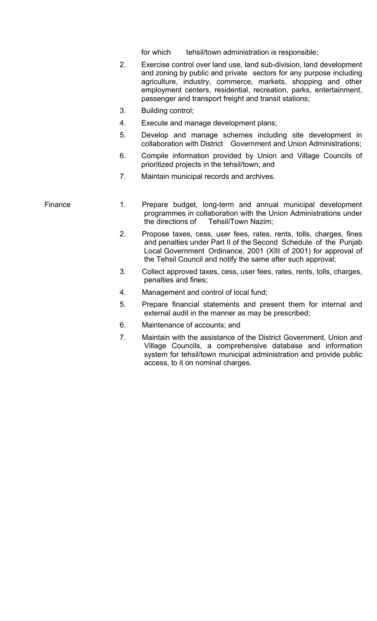for which tehsil/town administration is responsible;

- 2. Exercise control over land use, land sub-division, land development and zoning by public and private sectors for any purpose including agriculture, industry, commerce, markets, shopping and other employment centers, residential, recreation, parks, entertainment, passenger and transport freight and transit stations;
- 3. Building control;
- 4. Execute and manage development plans;
- 5. Develop and manage schemes including site development in collaboration with District Government and Union Administrations;
- 6. Compile information provided by Union and Village Councils of prioritized projects in the tehsil/town; and
- 7. Maintain municipal records and archives.

- Finance 1. Prepare budget, long-term and annual municipal development programmes in collaboration with the Union Administrations under the directions of Tehsil/Town Nazim;
	- 2. Propose taxes, cess, user fees, rates, rents, tolls, charges, fines and penalties under Part II of the Second Schedule of the Punjab Local Government Ordinance, 2001 (XIII of 2001) for approval of the Tehsil Council and notify the same after such approval;
	- 3. Collect approved taxes, cess, user fees, rates, rents, tolls, charges, penalties and fines;
	- 4. Management and control of local fund;
	- 5. Prepare financial statements and present them for internal and external audit in the manner as may be prescribed;
	- 6. Maintenance of accounts; and
	- 7. Maintain with the assistance of the District Government, Union and Village Councils, a comprehensive database and information system for tehsil/town municipal administration and provide public access, to it on nominal charges.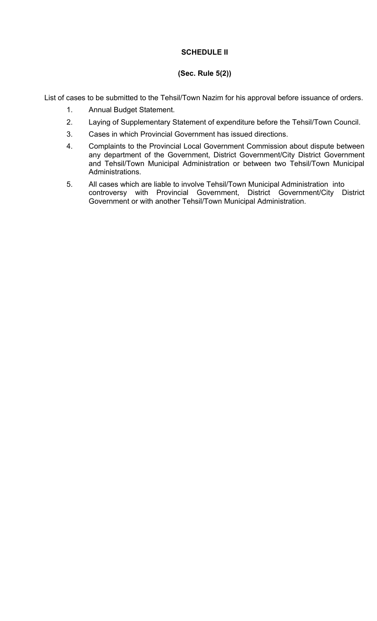#### **SCHEDULE II**

#### **(Sec. Rule 5(2))**

List of cases to be submitted to the Tehsil/Town Nazim for his approval before issuance of orders.

- 1. Annual Budget Statement.
- 2. Laying of Supplementary Statement of expenditure before the Tehsil/Town Council.
- 3. Cases in which Provincial Government has issued directions.
- 4. Complaints to the Provincial Local Government Commission about dispute between any department of the Government, District Government/City District Government and Tehsil/Town Municipal Administration or between two Tehsil/Town Municipal Administrations.
- 5. All cases which are liable to involve Tehsil/Town Municipal Administration into controversy with Provincial Government, District Government/City District Government or with another Tehsil/Town Municipal Administration.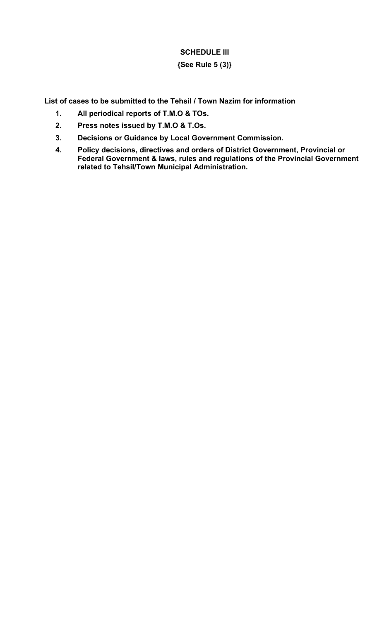# **SCHEDULE III**

**{See Rule 5 (3)}**

**List of cases to be submitted to the Tehsil / Town Nazim for information**

- **1. All periodical reports of T.M.O & TOs.**
- **2. Press notes issued by T.M.O & T.Os.**
- **3. Decisions or Guidance by Local Government Commission.**
- **4. Policy decisions, directives and orders of District Government, Provincial or Federal Government & laws, rules and regulations of the Provincial Government related to Tehsil/Town Municipal Administration.**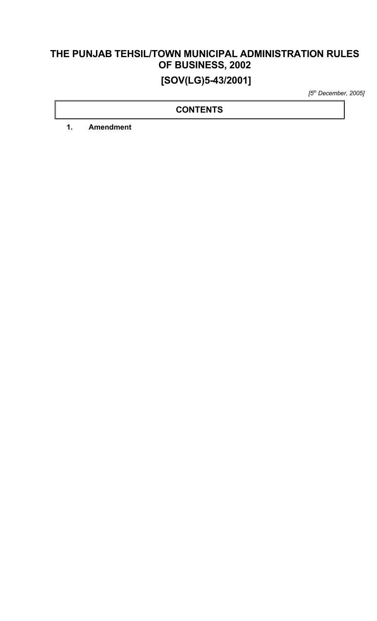# **THE PUNJAB TEHSIL/TOWN MUNICIPAL ADMINISTRATION RULES OF BUSINESS, 2002 [SOV(LG)5-43/2001]**

*[5th December, 2005]*

#### **CONTENTS**

**1. Amendment**